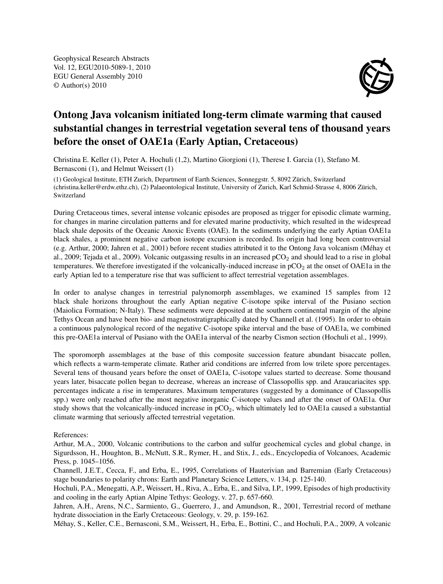Geophysical Research Abstracts Vol. 12, EGU2010-5089-1, 2010 EGU General Assembly 2010 © Author(s) 2010



## Ontong Java volcanism initiated long-term climate warming that caused substantial changes in terrestrial vegetation several tens of thousand years before the onset of OAE1a (Early Aptian, Cretaceous)

Christina E. Keller (1), Peter A. Hochuli (1,2), Martino Giorgioni (1), Therese I. Garcia (1), Stefano M. Bernasconi (1), and Helmut Weissert (1)

(1) Geological Institute, ETH Zurich, Department of Earth Sciences, Sonneggstr. 5, 8092 Zürich, Switzerland (christina.keller@erdw.ethz.ch), (2) Palaeontological Institute, University of Zurich, Karl Schmid-Strasse 4, 8006 Zürich, Switzerland

During Cretaceous times, several intense volcanic episodes are proposed as trigger for episodic climate warming, for changes in marine circulation patterns and for elevated marine productivity, which resulted in the widespread black shale deposits of the Oceanic Anoxic Events (OAE). In the sediments underlying the early Aptian OAE1a black shales, a prominent negative carbon isotope excursion is recorded. Its origin had long been controversial (e.g. Arthur, 2000; Jahren et al., 2001) before recent studies attributed it to the Ontong Java volcanism (Méhay et al., 2009; Tejada et al., 2009). Volcanic outgassing results in an increased  $pCO<sub>2</sub>$  and should lead to a rise in global temperatures. We therefore investigated if the volcanically-induced increase in  $pCO<sub>2</sub>$  at the onset of OAE1a in the early Aptian led to a temperature rise that was sufficient to affect terrestrial vegetation assemblages.

In order to analyse changes in terrestrial palynomorph assemblages, we examined 15 samples from 12 black shale horizons throughout the early Aptian negative C-isotope spike interval of the Pusiano section (Maiolica Formation; N-Italy). These sediments were deposited at the southern continental margin of the alpine Tethys Ocean and have been bio- and magnetostratigraphically dated by Channell et al. (1995). In order to obtain a continuous palynological record of the negative C-isotope spike interval and the base of OAE1a, we combined this pre-OAE1a interval of Pusiano with the OAE1a interval of the nearby Cismon section (Hochuli et al., 1999).

The sporomorph assemblages at the base of this composite succession feature abundant bisaccate pollen, which reflects a warm-temperate climate. Rather arid conditions are inferred from low trilete spore percentages. Several tens of thousand years before the onset of OAE1a, C-isotope values started to decrease. Some thousand years later, bisaccate pollen began to decrease, whereas an increase of Classopollis spp. and Araucariacites spp. percentages indicate a rise in temperatures. Maximum temperatures (suggested by a dominance of Classopollis spp.) were only reached after the most negative inorganic C-isotope values and after the onset of OAE1a. Our study shows that the volcanically-induced increase in  $pCO<sub>2</sub>$ , which ultimately led to OAE1a caused a substantial climate warming that seriously affected terrestrial vegetation.

## References:

Arthur, M.A., 2000, Volcanic contributions to the carbon and sulfur geochemical cycles and global change, in Sigurdsson, H., Houghton, B., McNutt, S.R., Rymer, H., and Stix, J., eds., Encyclopedia of Volcanoes, Academic Press, p. 1045–1056.

Channell, J.E.T., Cecca, F., and Erba, E., 1995, Correlations of Hauterivian and Barremian (Early Cretaceous) stage boundaries to polarity chrons: Earth and Planetary Science Letters, v. 134, p. 125-140.

Hochuli, P.A., Menegatti, A.P., Weissert, H., Riva, A., Erba, E., and Silva, I.P., 1999, Episodes of high productivity and cooling in the early Aptian Alpine Tethys: Geology, v. 27, p. 657-660.

Jahren, A.H., Arens, N.C., Sarmiento, G., Guerrero, J., and Amundson, R., 2001, Terrestrial record of methane hydrate dissociation in the Early Cretaceous: Geology, v. 29, p. 159-162.

Méhay, S., Keller, C.E., Bernasconi, S.M., Weissert, H., Erba, E., Bottini, C., and Hochuli, P.A., 2009, A volcanic